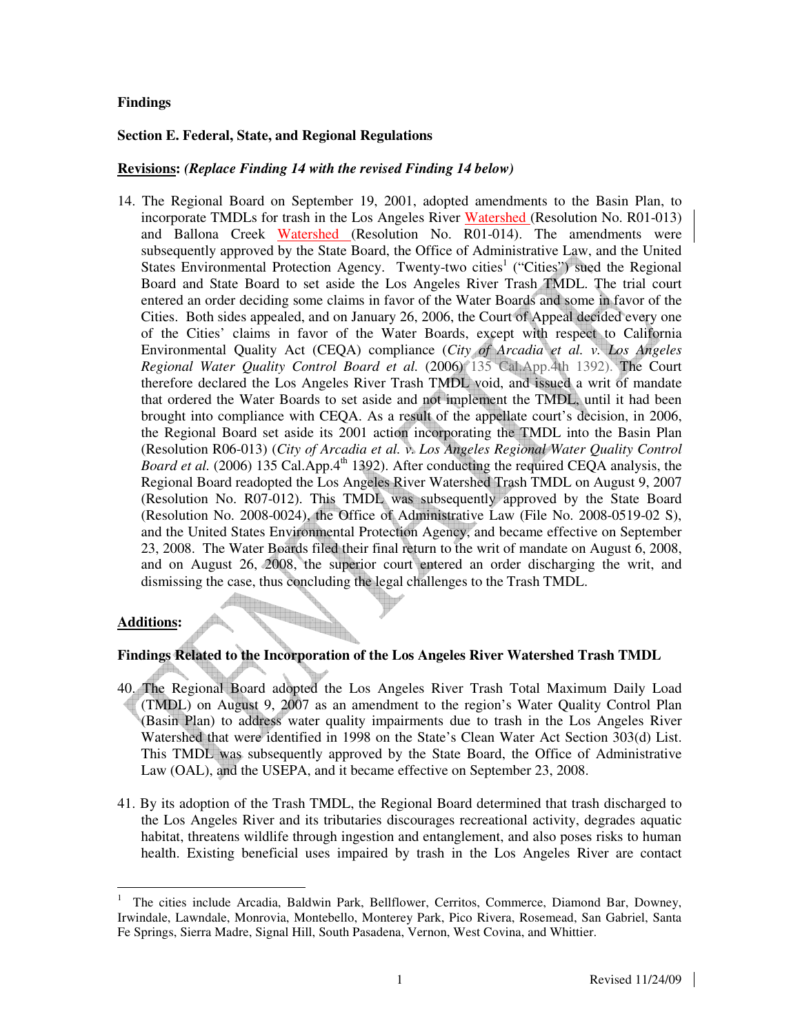## **Findings**

## **Section E. Federal, State, and Regional Regulations**

## **Revisions:** *(Replace Finding 14 with the revised Finding 14 below)*

14. The Regional Board on September 19, 2001, adopted amendments to the Basin Plan, to incorporate TMDLs for trash in the Los Angeles River Watershed (Resolution No. R01-013) and Ballona Creek Watershed (Resolution No. R01-014). The amendments were subsequently approved by the State Board, the Office of Administrative Law, and the United States Environmental Protection Agency. Twenty-two cities<sup>1</sup> ("Cities") sued the Regional Board and State Board to set aside the Los Angeles River Trash TMDL. The trial court entered an order deciding some claims in favor of the Water Boards and some in favor of the Cities. Both sides appealed, and on January 26, 2006, the Court of Appeal decided every one of the Cities' claims in favor of the Water Boards, except with respect to California Environmental Quality Act (CEQA) compliance (*City of Arcadia et al. v. Los Angeles Regional Water Quality Control Board et al.* (2006) 135 Cal.App.4th 1392). The Court therefore declared the Los Angeles River Trash TMDL void, and issued a writ of mandate that ordered the Water Boards to set aside and not implement the TMDL, until it had been brought into compliance with CEQA. As a result of the appellate court's decision, in 2006, the Regional Board set aside its 2001 action incorporating the TMDL into the Basin Plan (Resolution R06-013) (*City of Arcadia et al. v. Los Angeles Regional Water Quality Control Board et al.* (2006) 135 Cal.App.4<sup>th</sup> 1392). After conducting the required CEQA analysis, the Regional Board readopted the Los Angeles River Watershed Trash TMDL on August 9, 2007 (Resolution No. R07-012). This TMDL was subsequently approved by the State Board (Resolution No. 2008-0024), the Office of Administrative Law (File No. 2008-0519-02 S), and the United States Environmental Protection Agency, and became effective on September 23, 2008. The Water Boards filed their final return to the writ of mandate on August 6, 2008, and on August 26, 2008, the superior court entered an order discharging the writ, and dismissing the case, thus concluding the legal challenges to the Trash TMDL.

#### **Additions:**

# **Findings Related to the Incorporation of the Los Angeles River Watershed Trash TMDL**

- 40. The Regional Board adopted the Los Angeles River Trash Total Maximum Daily Load (TMDL) on August 9, 2007 as an amendment to the region's Water Quality Control Plan (Basin Plan) to address water quality impairments due to trash in the Los Angeles River Watershed that were identified in 1998 on the State's Clean Water Act Section 303(d) List. This TMDL was subsequently approved by the State Board, the Office of Administrative Law (OAL), and the USEPA, and it became effective on September 23, 2008.
- 41. By its adoption of the Trash TMDL, the Regional Board determined that trash discharged to the Los Angeles River and its tributaries discourages recreational activity, degrades aquatic habitat, threatens wildlife through ingestion and entanglement, and also poses risks to human health. Existing beneficial uses impaired by trash in the Los Angeles River are contact

 $\overline{a}$ 1 The cities include Arcadia, Baldwin Park, Bellflower, Cerritos, Commerce, Diamond Bar, Downey, Irwindale, Lawndale, Monrovia, Montebello, Monterey Park, Pico Rivera, Rosemead, San Gabriel, Santa Fe Springs, Sierra Madre, Signal Hill, South Pasadena, Vernon, West Covina, and Whittier.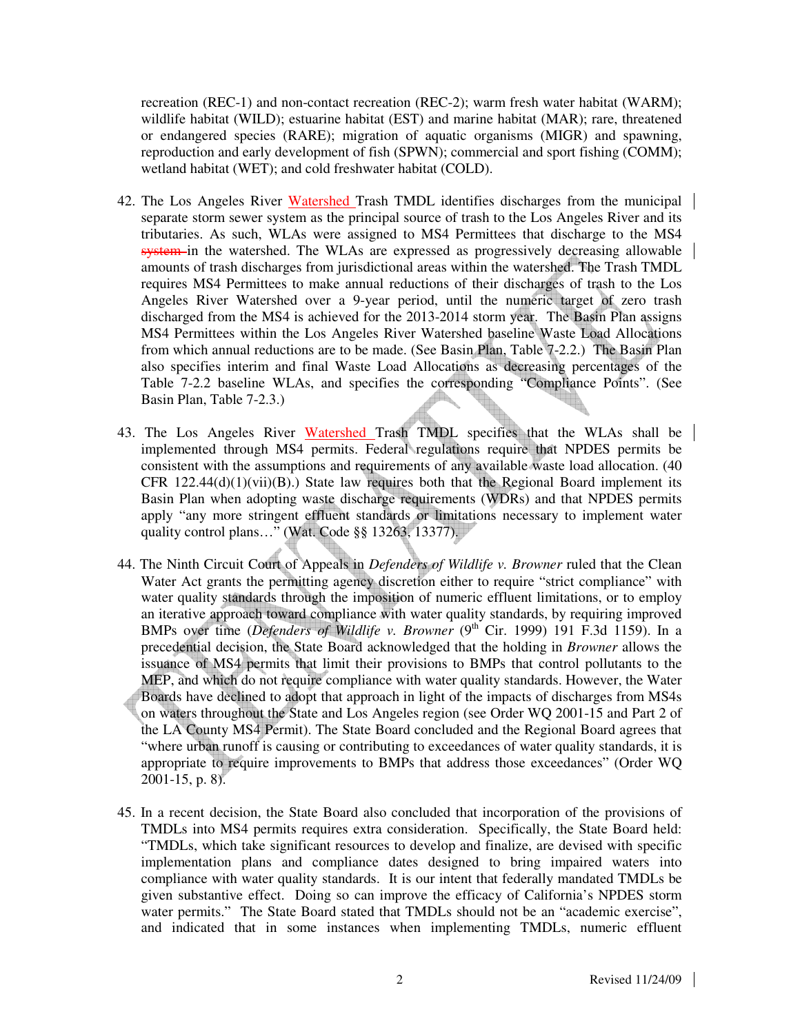recreation (REC-1) and non-contact recreation (REC-2); warm fresh water habitat (WARM); wildlife habitat (WILD); estuarine habitat (EST) and marine habitat (MAR); rare, threatened or endangered species (RARE); migration of aquatic organisms (MIGR) and spawning, reproduction and early development of fish (SPWN); commercial and sport fishing (COMM); wetland habitat (WET); and cold freshwater habitat (COLD).

- 42. The Los Angeles River Watershed Trash TMDL identifies discharges from the municipal separate storm sewer system as the principal source of trash to the Los Angeles River and its tributaries. As such, WLAs were assigned to MS4 Permittees that discharge to the MS4 system in the watershed. The WLAs are expressed as progressively decreasing allowable amounts of trash discharges from jurisdictional areas within the watershed. The Trash TMDL requires MS4 Permittees to make annual reductions of their discharges of trash to the Los Angeles River Watershed over a 9-year period, until the numeric target of zero trash discharged from the MS4 is achieved for the 2013-2014 storm year. The Basin Plan assigns MS4 Permittees within the Los Angeles River Watershed baseline Waste Load Allocations from which annual reductions are to be made. (See Basin Plan, Table 7-2.2.) The Basin Plan also specifies interim and final Waste Load Allocations as decreasing percentages of the Table 7-2.2 baseline WLAs, and specifies the corresponding "Compliance Points". (See Basin Plan, Table 7-2.3.)
- 43. The Los Angeles River Watershed Trash TMDL specifies that the WLAs shall be implemented through MS4 permits. Federal regulations require that NPDES permits be consistent with the assumptions and requirements of any available waste load allocation. (40 CFR  $122.44(d)(1)(vi)(B)$ .) State law requires both that the Regional Board implement its Basin Plan when adopting waste discharge requirements (WDRs) and that NPDES permits apply "any more stringent effluent standards or limitations necessary to implement water quality control plans…" (Wat. Code §§ 13263, 13377).
- 44. The Ninth Circuit Court of Appeals in *Defenders of Wildlife v. Browner* ruled that the Clean Water Act grants the permitting agency discretion either to require "strict compliance" with water quality standards through the imposition of numeric effluent limitations, or to employ an iterative approach toward compliance with water quality standards, by requiring improved BMPs over time (*Defenders of Wildlife v. Browner* (9<sup>th</sup> Cir. 1999) 191 F.3d 1159). In a precedential decision, the State Board acknowledged that the holding in *Browner* allows the issuance of MS4 permits that limit their provisions to BMPs that control pollutants to the MEP, and which do not require compliance with water quality standards. However, the Water Boards have declined to adopt that approach in light of the impacts of discharges from MS4s on waters throughout the State and Los Angeles region (see Order WQ 2001-15 and Part 2 of the LA County MS4 Permit). The State Board concluded and the Regional Board agrees that "where urban runoff is causing or contributing to exceedances of water quality standards, it is appropriate to require improvements to BMPs that address those exceedances" (Order WQ 2001-15, p. 8).
- 45. In a recent decision, the State Board also concluded that incorporation of the provisions of TMDLs into MS4 permits requires extra consideration. Specifically, the State Board held: "TMDLs, which take significant resources to develop and finalize, are devised with specific implementation plans and compliance dates designed to bring impaired waters into compliance with water quality standards. It is our intent that federally mandated TMDLs be given substantive effect. Doing so can improve the efficacy of California's NPDES storm water permits." The State Board stated that TMDLs should not be an "academic exercise", and indicated that in some instances when implementing TMDLs, numeric effluent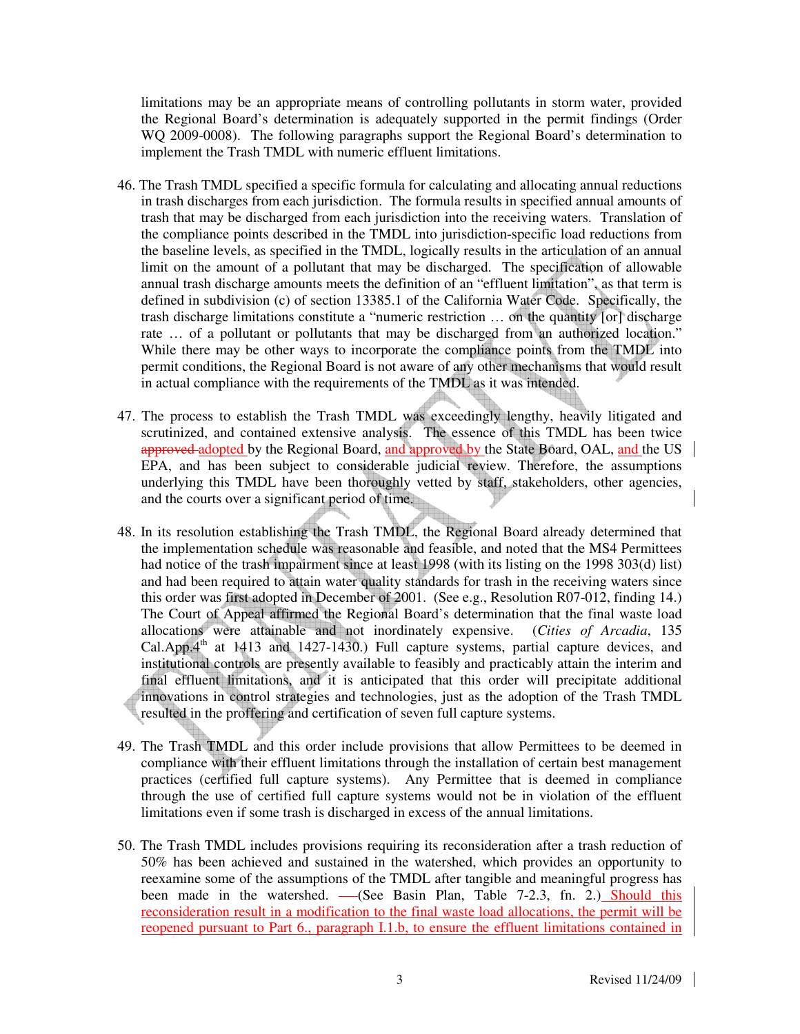limitations may be an appropriate means of controlling pollutants in storm water, provided the Regional Board's determination is adequately supported in the permit findings (Order WQ 2009-0008). The following paragraphs support the Regional Board's determination to implement the Trash TMDL with numeric effluent limitations.

- 46. The Trash TMDL specified a specific formula for calculating and allocating annual reductions in trash discharges from each jurisdiction. The formula results in specified annual amounts of trash that may be discharged from each jurisdiction into the receiving waters. Translation of the compliance points described in the TMDL into jurisdiction-specific load reductions from the baseline levels, as specified in the TMDL, logically results in the articulation of an annual limit on the amount of a pollutant that may be discharged. The specification of allowable annual trash discharge amounts meets the definition of an "effluent limitation", as that term is defined in subdivision (c) of section 13385.1 of the California Water Code. Specifically, the trash discharge limitations constitute a "numeric restriction … on the quantity [or] discharge rate … of a pollutant or pollutants that may be discharged from an authorized location." While there may be other ways to incorporate the compliance points from the TMDL into permit conditions, the Regional Board is not aware of any other mechanisms that would result in actual compliance with the requirements of the TMDL as it was intended.
- 47. The process to establish the Trash TMDL was exceedingly lengthy, heavily litigated and scrutinized, and contained extensive analysis. The essence of this TMDL has been twice approved adopted by the Regional Board, and approved by the State Board, OAL, and the US EPA, and has been subject to considerable judicial review. Therefore, the assumptions underlying this TMDL have been thoroughly vetted by staff, stakeholders, other agencies, and the courts over a significant period of time.
- 48. In its resolution establishing the Trash TMDL, the Regional Board already determined that the implementation schedule was reasonable and feasible, and noted that the MS4 Permittees had notice of the trash impairment since at least 1998 (with its listing on the 1998 303(d) list) and had been required to attain water quality standards for trash in the receiving waters since this order was first adopted in December of 2001. (See e.g., Resolution R07-012, finding 14.) The Court of Appeal affirmed the Regional Board's determination that the final waste load allocations were attainable and not inordinately expensive. (*Cities of Arcadia*, 135 Cal.App. $4<sup>th</sup>$  at 1413 and 1427-1430.) Full capture systems, partial capture devices, and institutional controls are presently available to feasibly and practicably attain the interim and final effluent limitations, and it is anticipated that this order will precipitate additional innovations in control strategies and technologies, just as the adoption of the Trash TMDL resulted in the proffering and certification of seven full capture systems.
- 49. The Trash TMDL and this order include provisions that allow Permittees to be deemed in compliance with their effluent limitations through the installation of certain best management practices (certified full capture systems). Any Permittee that is deemed in compliance through the use of certified full capture systems would not be in violation of the effluent limitations even if some trash is discharged in excess of the annual limitations.
- 50. The Trash TMDL includes provisions requiring its reconsideration after a trash reduction of 50% has been achieved and sustained in the watershed, which provides an opportunity to reexamine some of the assumptions of the TMDL after tangible and meaningful progress has been made in the watershed. - (See Basin Plan, Table 7-2.3, fn. 2.) Should this reconsideration result in a modification to the final waste load allocations, the permit will be reopened pursuant to Part 6., paragraph I.1.b, to ensure the effluent limitations contained in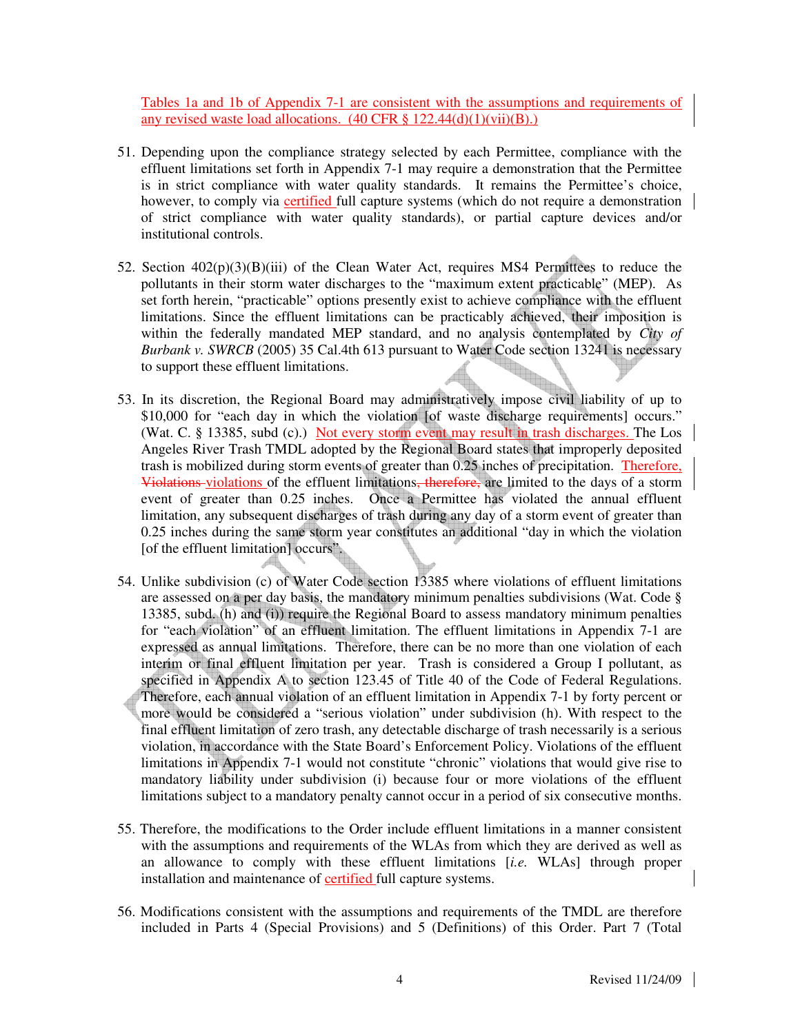Tables 1a and 1b of Appendix 7-1 are consistent with the assumptions and requirements of any revised waste load allocations.  $(40 \text{ CFR} \text{ § } 122.44(d)(1)(vii)(B))$ .

- 51. Depending upon the compliance strategy selected by each Permittee, compliance with the effluent limitations set forth in Appendix 7-1 may require a demonstration that the Permittee is in strict compliance with water quality standards. It remains the Permittee's choice, however, to comply via certified full capture systems (which do not require a demonstration of strict compliance with water quality standards), or partial capture devices and/or institutional controls.
- 52. Section  $402(p)(3)(B)(iii)$  of the Clean Water Act, requires MS4 Permittees to reduce the pollutants in their storm water discharges to the "maximum extent practicable" (MEP). As set forth herein, "practicable" options presently exist to achieve compliance with the effluent limitations. Since the effluent limitations can be practicably achieved, their imposition is within the federally mandated MEP standard, and no analysis contemplated by *City of Burbank v. SWRCB* (2005) 35 Cal.4th 613 pursuant to Water Code section 13241 is necessary to support these effluent limitations.
- 53. In its discretion, the Regional Board may administratively impose civil liability of up to \$10,000 for "each day in which the violation [of waste discharge requirements] occurs." (Wat. C. § 13385, subd (c).) Not every storm event may result in trash discharges. The Los Angeles River Trash TMDL adopted by the Regional Board states that improperly deposited trash is mobilized during storm events of greater than 0.25 inches of precipitation. Therefore, Violations violations of the effluent limitations, therefore, are limited to the days of a storm event of greater than 0.25 inches. Once a Permittee has violated the annual effluent limitation, any subsequent discharges of trash during any day of a storm event of greater than 0.25 inches during the same storm year constitutes an additional "day in which the violation [of the effluent limitation] occurs".
- 54. Unlike subdivision (c) of Water Code section 13385 where violations of effluent limitations are assessed on a per day basis, the mandatory minimum penalties subdivisions (Wat. Code § 13385, subd. (h) and (i)) require the Regional Board to assess mandatory minimum penalties for "each violation" of an effluent limitation. The effluent limitations in Appendix 7-1 are expressed as annual limitations. Therefore, there can be no more than one violation of each interim or final effluent limitation per year. Trash is considered a Group I pollutant, as specified in Appendix A to section 123.45 of Title 40 of the Code of Federal Regulations. Therefore, each annual violation of an effluent limitation in Appendix 7-1 by forty percent or more would be considered a "serious violation" under subdivision (h). With respect to the final effluent limitation of zero trash, any detectable discharge of trash necessarily is a serious violation, in accordance with the State Board's Enforcement Policy. Violations of the effluent limitations in Appendix 7-1 would not constitute "chronic" violations that would give rise to mandatory liability under subdivision (i) because four or more violations of the effluent limitations subject to a mandatory penalty cannot occur in a period of six consecutive months.
- 55. Therefore, the modifications to the Order include effluent limitations in a manner consistent with the assumptions and requirements of the WLAs from which they are derived as well as an allowance to comply with these effluent limitations [*i.e.* WLAs] through proper installation and maintenance of certified full capture systems.
- 56. Modifications consistent with the assumptions and requirements of the TMDL are therefore included in Parts 4 (Special Provisions) and 5 (Definitions) of this Order. Part 7 (Total